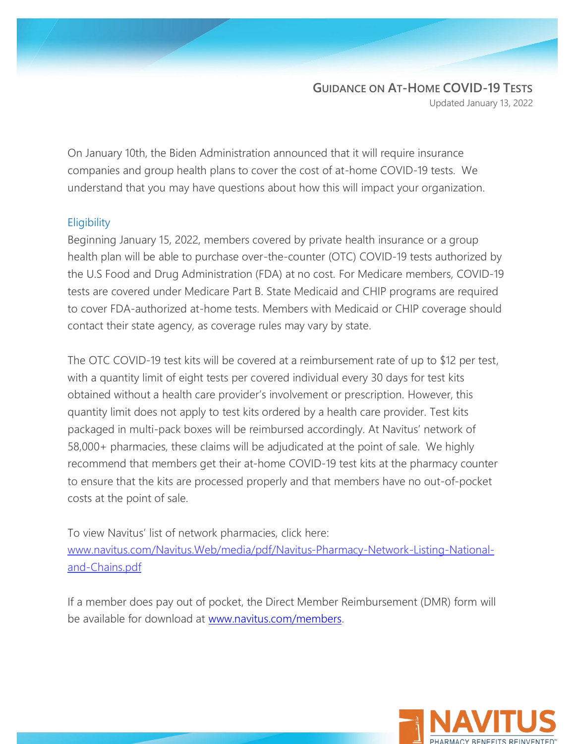## **GUIDANCE ON AT-HOME COVID-19 TESTS**

Updated January 13, 2022

On January 10th, the Biden Administration announced that it will require insurance companies and group health plans to cover the cost of at-home COVID-19 tests. We understand that you may have questions about how this will impact your organization.

## **Eligibility**

Beginning January 15, 2022, members covered by private health insurance or a group health plan will be able to purchase over-the-counter (OTC) COVID-19 tests authorized by the U.S Food and Drug Administration (FDA) at no cost. For Medicare members, COVID-19 tests are covered under Medicare Part B. State Medicaid and CHIP programs are required to cover FDA-authorized at-home tests. Members with Medicaid or CHIP coverage should contact their state agency, as coverage rules may vary by state.

The OTC COVID-19 test kits will be covered at a reimbursement rate of up to \$12 per test, with a quantity limit of eight tests per covered individual every 30 days for test kits obtained without a health care provider's involvement or prescription. However, this quantity limit does not apply to test kits ordered by a health care provider. Test kits packaged in multi-pack boxes will be reimbursed accordingly. At Navitus' network of 58,000+ pharmacies, these claims will be adjudicated at the point of sale. We highly recommend that members get their at-home COVID-19 test kits at the pharmacy counter to ensure that the kits are processed properly and that members have no out-of-pocket costs at the point of sale.

To view Navitus' list of network pharmacies, click here: [www.navitus.com/Navitus.Web/media/pdf/Navitus-Pharmacy-Network-Listing-National](http://www.navitus.com/Navitus.Web/media/pdf/Navitus-Pharmacy-Network-Listing-National-and-Chains.pdf)[and-Chains.pdf](http://www.navitus.com/Navitus.Web/media/pdf/Navitus-Pharmacy-Network-Listing-National-and-Chains.pdf)

If a member does pay out of pocket, the Direct Member Reimbursement (DMR) form will be available for download at [www.navitus.com/members.](http://www.navitus.com/members)